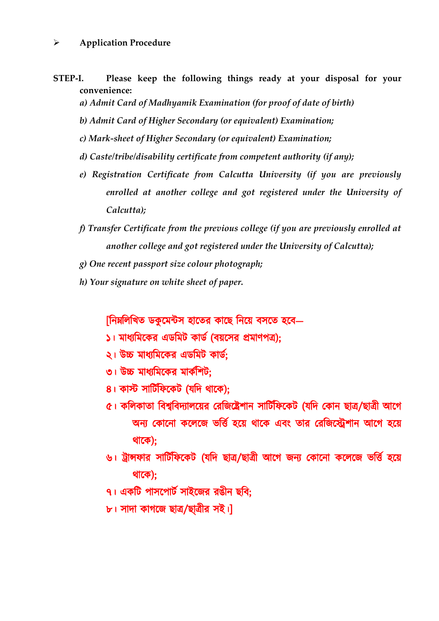## **Application Procedure**

- **STEP-I. Please keep the following things ready at your disposal for your convenience:**
	- *a) Admit Card of Madhyamik Examination (for proof of date of birth)*
	- *b) Admit Card of Higher Secondary (or equivalent) Examination;*
	- *c) Mark-sheet of Higher Secondary (or equivalent) Examination;*
	- *d) Caste/tribe/disability certificate from competent authority (if any);*
	- *e) Registration Certificate from Calcutta University (if you are previously enrolled at another college and got registered under the University of Calcutta);*
	- *f) Transfer Certificate from the previous college (if you are previously enrolled at another college and got registered under the University of Calcutta);*
	- *g) One recent passport size colour photograph;*
	- *h) Your signature on white sheet of paper.*

[নিম্নলিখিত ডকুমেন্টস হাতের কাছে নিয়ে বসতে হবে—

- ১। মাধ্যমিকের এডমিট কার্ড (বয়সের প্রমাণপত্র);
- ২। উচ্চ মাধ্যমিকের এডমিট কার্ড;
- ৩। উচ্চ মাধ্যমিকের মার্কশিট:
- ৪। কাস্ট সার্টিফিকেট (যদি থাকে):
- ৫। কলিকাতা বিশ্ববিদ্যালয়ের রেজিষ্ট্রেশান সার্টিফিকেট (যদি কোন ছাত্র/ছাত্রী আগে অন্য কোনো কলেজে ভর্ত্তি হয়ে থাকে এবং তার রেজিস্ট্রেশান আগে হয়ে থাকে);
- ৬। ট্রান্সফার সার্টিফিকেট (যদি ছাত্র/ছাত্রী আগে জন্য কোনো কলেজে ভর্ত্তি হয়ে থাকে);
- ৭। একটি পাসপোর্ট সাইজের রঙীন ছবি:

৮। সাদা কাগজে ছাত্র/ছাত্রীর সই।]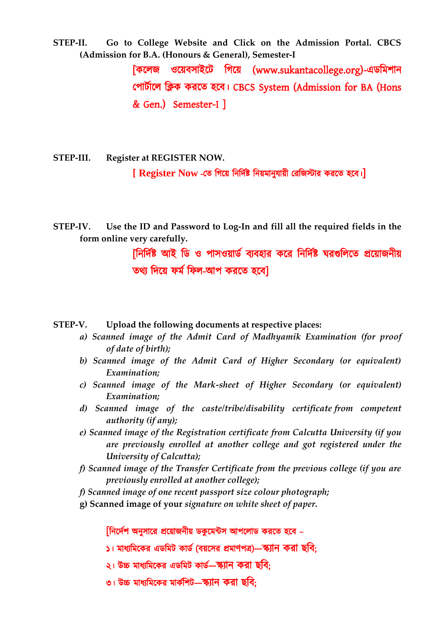**STEP-II. Go to College Website and Click on the Admission Portal. CBCS (Admission for B.A. (Honours & General), Semester-I**

> [কলেজ ওয়েবসাইটে গিয়ে (www.sukantacollege.org)-এডমিশান পোৰ্টালে ক্লিক করতে হবে। CBCS System (Admission for BA (Hons & Gen.) Semester-I ]

**STEP-III. Register at REGISTER NOW. [ Register Now -তে গিয়ে নির্দিষ্ট নিয়মানুযায়ী রেজিস্টার করতে হবে।**]

**STEP-IV. Use the ID and Password to Log-In and fill all the required fields in the form online very carefully.**

> [নির্দিষ্ট আই ডি ও পাসওয়ার্ড ব্যবহার করে নির্দিষ্ট ঘরগুলিতে প্রয়োজনীয় তথ্য দিয়ে ফৰ্ম ফিল-আপ করতে হবেl

**STEP-V. Upload the following documents at respective places:**

- *a) Scanned image of the Admit Card of Madhyamik Examination (for proof of date of birth);*
- *b) Scanned image of the Admit Card of Higher Secondary (or equivalent) Examination;*
- *c) Scanned image of the Mark-sheet of Higher Secondary (or equivalent) Examination;*
- *d) Scanned image of the caste/tribe/disability certificate from competent authority (if any);*
- *e) Scanned image of the Registration certificate from Calcutta University (if you are previously enrolled at another college and got registered under the University of Calcutta);*
- *f) Scanned image of the Transfer Certificate from the previous college (if you are previously enrolled at another college);*
- *f) Scanned image of one recent passport size colour photograph;*
- **g) Scanned image of your** *signature on white sheet of paper***.**

[নির্দেশ অনুসারে প্রয়োজনীয় ডকুমেন্টস আপলোড করতে হবে –

- ১। মাধ্যমিকের এডমিট কার্ড (বয়সের প্রমাণপত্র)—স্ক্যান করা ছবি:
- ২। উচ্চ মাধ্যমিকের এডমিট কার্ড—স্ক্যান করা ছবি:
- ৩। উচ্চ মাধ্যমিকের মার্কশিট—স্ক্যান করা ছবি;